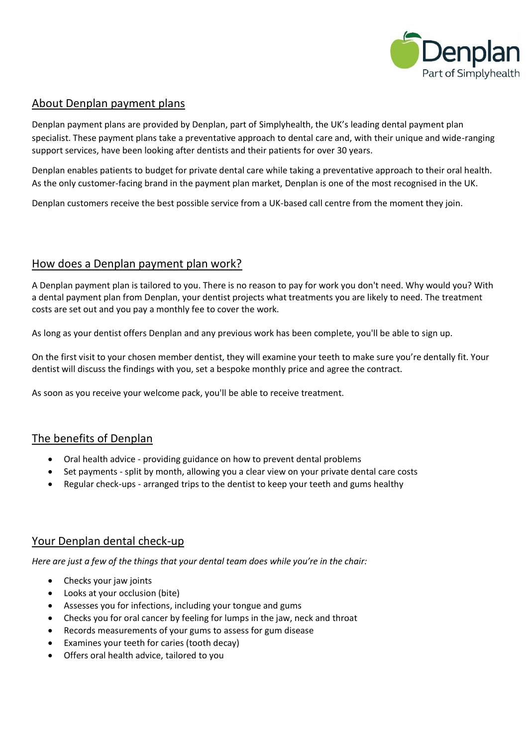

### About Denplan payment plans

Denplan payment plans are provided by Denplan, part of Simplyhealth, the UK's leading dental payment plan specialist. These payment plans take a preventative approach to dental care and, with their unique and wide-ranging support services, have been looking after dentists and their patients for over 30 years.

Denplan enables patients to budget for private dental care while taking a preventative approach to their oral health. As the only customer-facing brand in the payment plan market, Denplan is one of the most recognised in the UK.

Denplan customers receive the best possible service from a UK-based call centre from the moment they join.

### How does a Denplan payment plan work?

A Denplan payment plan is tailored to you. There is no reason to pay for work you don't need. Why would you? With a dental payment plan from Denplan, your dentist projects what treatments you are likely to need. The treatment costs are set out and you pay a monthly fee to cover the work.

As long as your dentist offers Denplan and any previous work has been complete, you'll be able to sign up.

On the first visit to your chosen member dentist, they will examine your teeth to make sure you're dentally fit. Your dentist will discuss the findings with you, set a bespoke monthly price and agree the contract.

As soon as you receive your welcome pack, you'll be able to receive treatment.

## The benefits of Denplan

- Oral health advice providing guidance on how to prevent dental problems
- Set payments split by month, allowing you a clear view on your private dental care costs
- Regular check-ups arranged trips to the dentist to keep your teeth and gums healthy

## Your Denplan dental check-up

*Here are just a few of the things that your dental team does while you're in the chair:*

- Checks your jaw joints
- Looks at your occlusion (bite)
- Assesses you for infections, including your tongue and gums
- Checks you for oral cancer by feeling for lumps in the jaw, neck and throat
- Records measurements of your gums to assess for gum disease
- Examines your teeth for caries (tooth decay)
- Offers oral health advice, tailored to you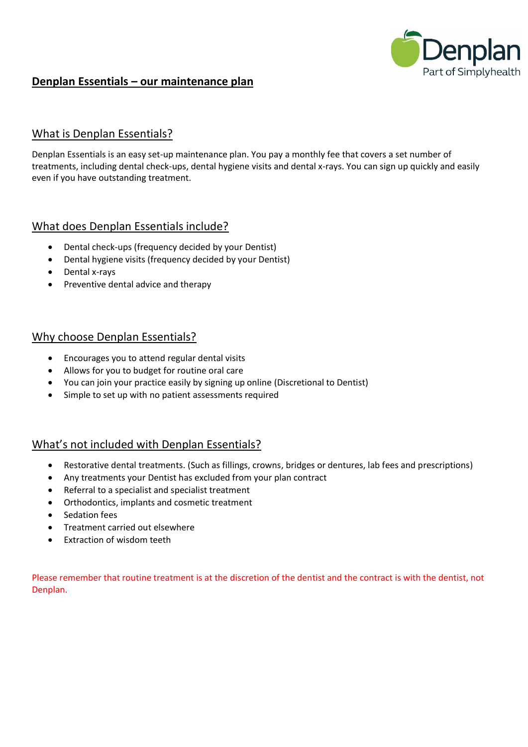

# **Denplan Essentials – our maintenance plan**

### What is Denplan Essentials?

Denplan Essentials is an easy set-up maintenance plan. You pay a monthly fee that covers a set number of treatments, including dental check-ups, dental hygiene visits and dental x-rays. You can sign up quickly and easily even if you have outstanding treatment.

### What does Denplan Essentials include?

- Dental check-ups (frequency decided by your Dentist)
- Dental hygiene visits (frequency decided by your Dentist)
- Dental x-rays
- Preventive dental advice and therapy

#### Why choose Denplan Essentials?

- Encourages you to attend regular dental visits
- Allows for you to budget for routine oral care
- You can join your practice easily by signing up online (Discretional to Dentist)
- Simple to set up with no patient assessments required

## What's not included with Denplan Essentials?

- Restorative dental treatments. (Such as fillings, crowns, bridges or dentures, lab fees and prescriptions)
- Any treatments your Dentist has excluded from your plan contract
- Referral to a specialist and specialist treatment
- Orthodontics, implants and cosmetic treatment
- Sedation fees
- Treatment carried out elsewhere
- Extraction of wisdom teeth

Please remember that routine treatment is at the discretion of the dentist and the contract is with the dentist, not Denplan.